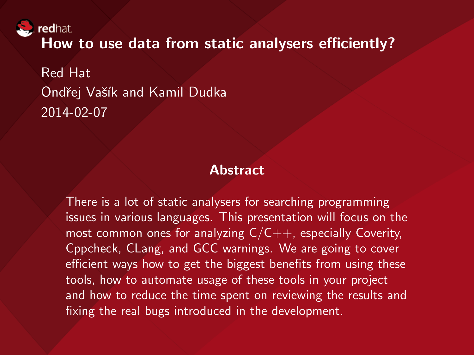redhat.

How to use data from static analysers efficiently?

Red Hat Ondřej Vašík and Kamil Dudka 2014-02-07

#### Abstract

There is a lot of static analysers for searching programming issues in various languages. This presentation will focus on the most common ones for analyzing  $C/C++$ , especially Coverity, Cppcheck, CLang, and GCC warnings. We are going to cover efficient ways how to get the biggest benefits from using these tools, how to automate usage of these tools in your project and how to reduce the time spent on reviewing the results and fixing the real bugs introduced in the development.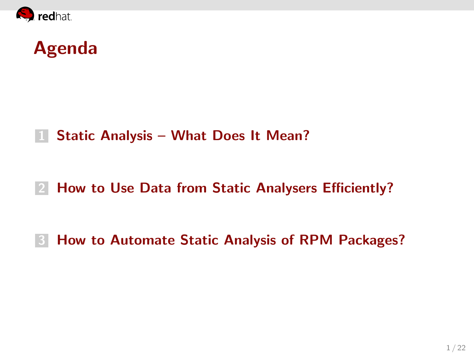

#### Agenda

#### 1 [Static Analysis – What Does It Mean?](#page-2-0)

#### 2 [How to Use Data from Static Analysers Efficiently?](#page-3-0)

#### **3 [How to Automate Static Analysis of RPM Packages?](#page-10-0)**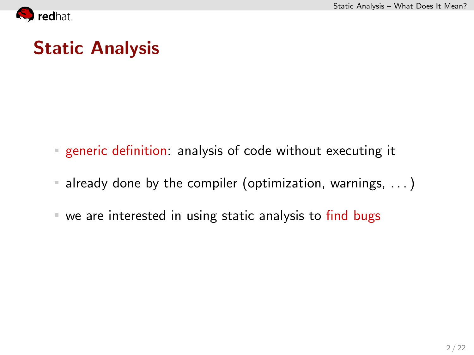<span id="page-2-0"></span>

## Static Analysis

- generic definition: analysis of code without executing it
- already done by the compiler (optimization, warnings, . . . )
- we are interested in using static analysis to find bugs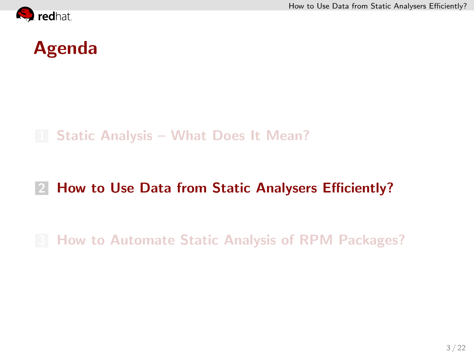<span id="page-3-0"></span>



#### 1 [Static Analysis – What Does It Mean?](#page-2-0)

#### 2 [How to Use Data from Static Analysers Efficiently?](#page-3-0)

#### **8 [How to Automate Static Analysis of RPM Packages?](#page-10-0)**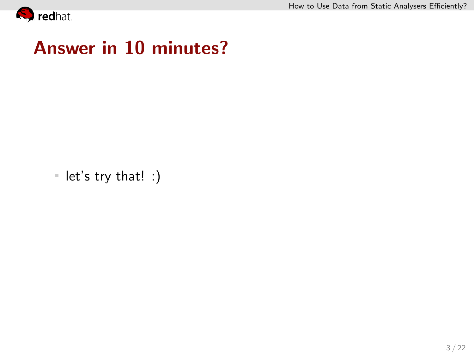<span id="page-4-0"></span>

#### Answer in 10 minutes?

let's try that! :)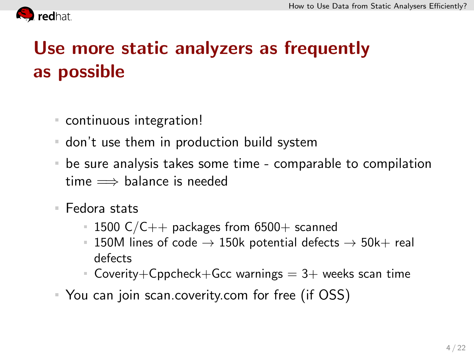<span id="page-5-0"></span>

# Use more static analyzers as frequently as possible

- continuous integration!
- don't use them in production build system
- be sure analysis takes some time comparable to compilation time  $\implies$  balance is needed
- Fedora stats
	- $1500 \text{ C/C++}$  packages from 6500+ scanned
	- 150M lines of code  $\rightarrow$  150k potential defects  $\rightarrow$  50k+ real defects
	- Coverity+Cppcheck+Gcc warnings  $= 3+$  weeks scan time
- You can join scan.coverity.com for free (if OSS)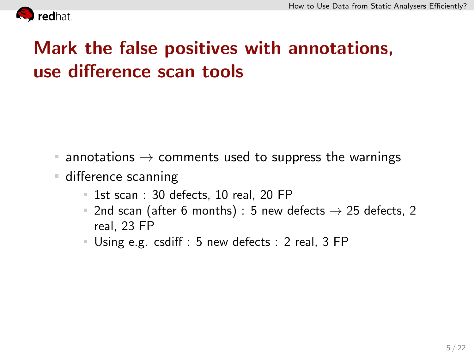<span id="page-6-0"></span>

## Mark the false positives with annotations, use difference scan tools

- $\blacksquare$  annotations  $\rightarrow$  comments used to suppress the warnings
- **difference scanning** 
	- $\blacksquare$  1st scan : 30 defects, 10 real, 20 FP
	- 2nd scan (after 6 months) : 5 new defects  $\rightarrow$  25 defects, 2 real, 23 FP
	- Using e.g. csdiff : 5 new defects : 2 real, 3 FP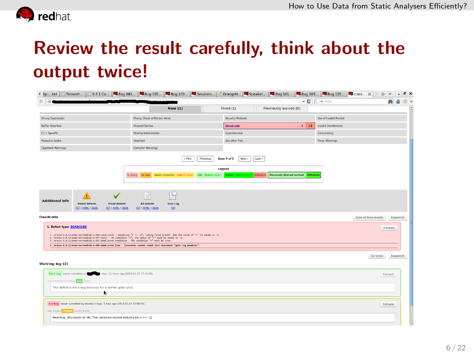<span id="page-7-0"></span>

## Review the result carefully, think about the output twice!

| < tp txt                                                                                                                                                                                                                                                                                                                                      |                                                                                  |                                           |                                       |                        |                       |          |            |   |
|-----------------------------------------------------------------------------------------------------------------------------------------------------------------------------------------------------------------------------------------------------------------------------------------------------------------------------------------------|----------------------------------------------------------------------------------|-------------------------------------------|---------------------------------------|------------------------|-----------------------|----------|------------|---|
| и                                                                                                                                                                                                                                                                                                                                             |                                                                                  |                                           | ×ø                                    | l <sup>™</sup> rhbz    |                       | 缬        |            |   |
|                                                                                                                                                                                                                                                                                                                                               | <b>New (1)</b>                                                                   | Fixed (1)                                 | Previously waived (0)                 |                        |                       |          |            | ≂ |
| Wrong Expression                                                                                                                                                                                                                                                                                                                              | Wrong Check of Return Value                                                      | Security Related                          |                                       | Use of Invalid Pointer |                       |          |            |   |
| <b>Buffer Overflow</b>                                                                                                                                                                                                                                                                                                                        | Misused Syntax                                                                   | Deadcode                                  | $1 + 1$                               | Invalid Dereference    |                       |          |            |   |
| C++ Specific                                                                                                                                                                                                                                                                                                                                  | Missing Initialization                                                           | Experimental                              |                                       | Concurrency            |                       |          |            |   |
| Resource Leaks                                                                                                                                                                                                                                                                                                                                | Unsorted                                                                         | Use after free                            |                                       | Parse Warnings         |                       |          |            |   |
| <b>Cppcheck Warnings</b>                                                                                                                                                                                                                                                                                                                      | Compiler Warnings                                                                |                                           |                                       |                        |                       |          |            |   |
|                                                                                                                                                                                                                                                                                                                                               | $\times$ first<br>Previous                                                       | Last »<br>Scan 4 of 5<br>Next ><br>Legend |                                       |                        |                       |          |            |   |
|                                                                                                                                                                                                                                                                                                                                               | Needs Inspection defects count Info defects count<br>Is a bug<br><b>Rx later</b> | difference<br>Maland defects a            | Previously Waived (active) difference |                        |                       |          |            |   |
| <b>Additional info</b><br>Added defects<br><b>Fixed defects</b><br><b>EXT   HTML   ISON</b><br><b>EXT   HTML   ISON</b>                                                                                                                                                                                                                       | All defects<br>Scan Log<br><b>TXT</b><br><b>EXT   HTML   ISON</b>                |                                           |                                       |                        |                       |          |            |   |
| Deadcode                                                                                                                                                                                                                                                                                                                                      |                                                                                  |                                           |                                       |                        | Show all trace events |          | Dostd all  |   |
| 1. Defect type: DEADCODE                                                                                                                                                                                                                                                                                                                      |                                                                                  |                                           |                                       |                        |                       | Collapse |            |   |
| 1. cromis-1.4.11/amacrom/readtab.c:206:comd.comst - Comdition "r != -1", taking false branch. Now the value of "r" is equal to -1.<br>2. cronis-1.4.11/anacron/readtab.c:287:ccest - At condition "r", the value of "r" must be equal to -1.<br>3, cronie-1.4.11/anacron/readtab.c:28T:dead_error_condition - The condition "r" must be true. |                                                                                  |                                           |                                       |                        |                       |          |            |   |
| 4. cronis-1.4.11/anacron/readtab.c:200:dead_error_line - Execution cannot reach this statement "goto reg_invalid;".                                                                                                                                                                                                                           |                                                                                  |                                           |                                       |                        |                       |          |            |   |
| Walving log (2)                                                                                                                                                                                                                                                                                                                               |                                                                                  |                                           |                                       |                        | Go to top             |          | Expand all |   |
| Not a bug waiver submitted by the S days, 22 hours ago (2014-01-21 17:49:35).                                                                                                                                                                                                                                                                 |                                                                                  |                                           |                                       |                        |                       | Collapse |            |   |
| User mmasters submitted and waiver:                                                                                                                                                                                                                                                                                                           |                                                                                  |                                           |                                       |                        |                       |          |            |   |
| This defect is not a bug because it's a normal goto cycle.                                                                                                                                                                                                                                                                                    |                                                                                  |                                           |                                       |                        |                       |          |            |   |
|                                                                                                                                                                                                                                                                                                                                               |                                                                                  |                                           |                                       |                        |                       |          |            |   |
| Is a bog water submitted by kdudka 5 days, 1 hour app (2014-01-22 15:06:58).                                                                                                                                                                                                                                                                  |                                                                                  |                                           |                                       |                        |                       | Collapse |            |   |
| User kdudka <b>changed</b> current waiver:                                                                                                                                                                                                                                                                                                    |                                                                                  |                                           |                                       |                        |                       |          |            |   |
| Real bug. Discussed on IRC. The condition should actually be (r == -1).                                                                                                                                                                                                                                                                       |                                                                                  |                                           |                                       |                        |                       |          |            |   |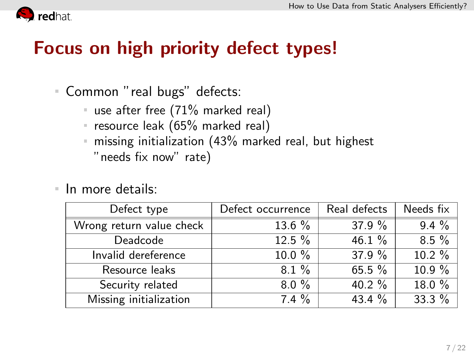<span id="page-8-0"></span>

#### Focus on high priority defect types!

- Common "real bugs" defects:
	- use after free (71% marked real)
	- **P** resource leak (65% marked real)
	- **missing initialization (43% marked real, but highest** "needs fix now" rate)
- In more details:  $\mathbb{R}^2$

| Defect type              | Defect occurrence | Real defects | Needs fix |  |
|--------------------------|-------------------|--------------|-----------|--|
| Wrong return value check | $13.6 \%$         | 37.9 $%$     | $9.4\%$   |  |
| Deadcode                 | $12.5 \%$         | 46.1 $%$     | $8.5\%$   |  |
| Invalid dereference      | $10.0 \%$         | 37.9 $%$     | $10.2 \%$ |  |
| Resource leaks           | $8.1 \%$          | 65.5 $%$     | $10.9\%$  |  |
| Security related         | $8.0\%$           | 40.2 $%$     | 18.0%     |  |
| Missing initialization   | $7.4 \%$          | 43.4 $%$     | 33.3 $%$  |  |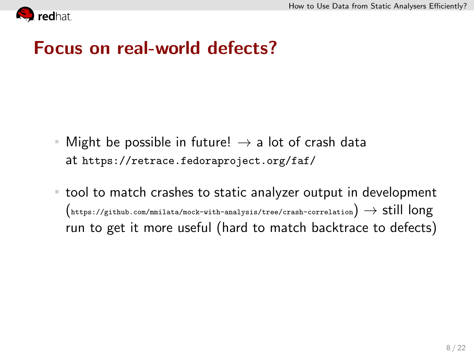<span id="page-9-0"></span>

#### Focus on real-world defects?

- Might be possible in future!  $\rightarrow$  a lot of crash data  $\equiv$ at <https://retrace.fedoraproject.org/faf/>
- tool to match crashes to static analyzer output in development  $($ <https://github.com/mmilata/mock-with-analysis/tree/crash-correlation>)  $\rightarrow$  still long run to get it more useful (hard to match backtrace to defects)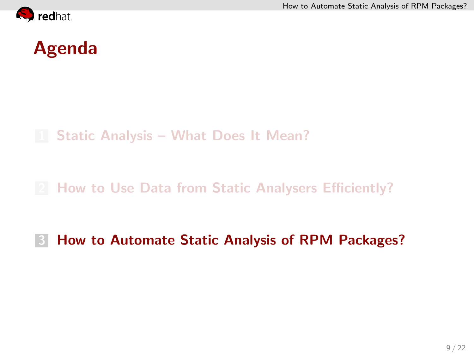<span id="page-10-0"></span>

1 [Static Analysis – What Does It Mean?](#page-2-0)

- **2 [How to Use Data from Static Analysers Efficiently?](#page-3-0)**
- **3 [How to Automate Static Analysis of RPM Packages?](#page-10-0)**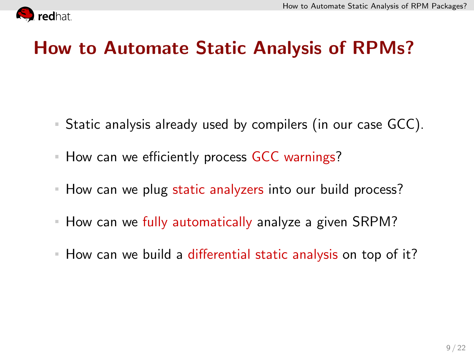<span id="page-11-0"></span>

#### How to Automate Static Analysis of RPMs?

- Static analysis already used by compilers (in our case GCC).
- How can we efficiently process GCC warnings?
- How can we plug static analyzers into our build process?  $\equiv$
- **How can we fully automatically analyze a given SRPM?**
- How can we build a differential static analysis on top of it?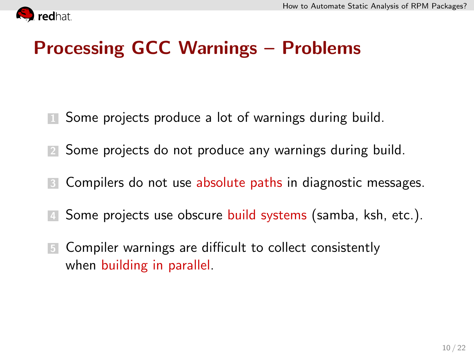<span id="page-12-0"></span>

## Processing GCC Warnings – Problems

- **1** Some projects produce a lot of warnings during build.
- 2 Some projects do not produce any warnings during build.
- **3** Compilers do not use absolute paths in diagnostic messages.
- **4** Some projects use obscure build systems (samba, ksh, etc.).
- **5** Compiler warnings are difficult to collect consistently when building in parallel.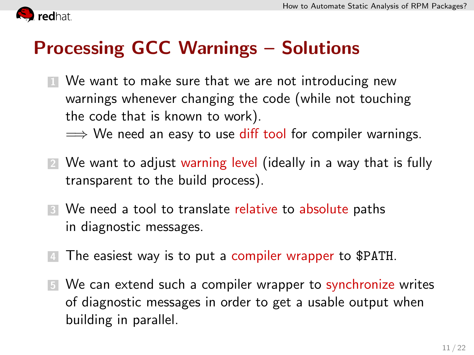<span id="page-13-0"></span>

### Processing GCC Warnings – Solutions

**1** We want to make sure that we are not introducing new warnings whenever changing the code (while not touching the code that is known to work).

 $\implies$  We need an easy to use diff tool for compiler warnings.

- 2 We want to adjust warning level (ideally in a way that is fully transparent to the build process).
- **3** We need a tool to translate relative to absolute paths in diagnostic messages.
- 4 The easiest way is to put a compiler wrapper to \$PATH.
- **5** We can extend such a compiler wrapper to synchronize writes of diagnostic messages in order to get a usable output when building in parallel.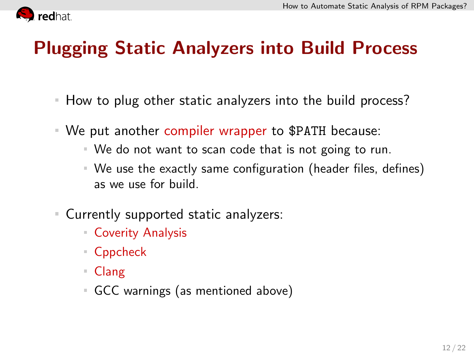<span id="page-14-0"></span>

## Plugging Static Analyzers into Build Process

- How to plug other static analyzers into the build process?
- We put another compiler wrapper to \$PATH because:
	- We do not want to scan code that is not going to run.
	- We use the exactly same configuration (header files, defines) as we use for build.
- Currently supported static analyzers:
	- Coverity Analysis
	- Cppcheck
	- Clang
	- GCC warnings (as mentioned above)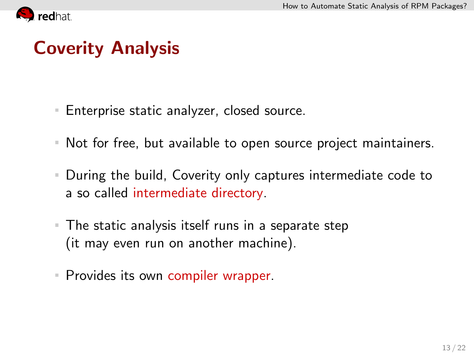<span id="page-15-0"></span>

## Coverity Analysis

- Enterprise static analyzer, closed source.
- Not for free, but available to open source project maintainers.
- During the build, Coverity only captures intermediate code to  $\equiv$ a so called intermediate directory.
- The static analysis itself runs in a separate step (it may even run on another machine).
- **Provides its own compiler wrapper.**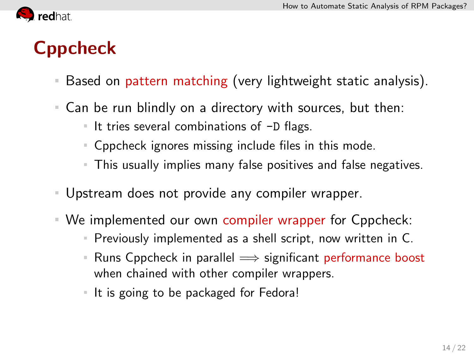<span id="page-16-0"></span>

# Cppcheck

- Based on pattern matching (very lightweight static analysis).
- Can be run blindly on a directory with sources, but then:
	- It tries several combinations of  $-D$  flags.
	- Cppcheck ignores missing include files in this mode.
	- This usually implies many false positives and false negatives.
- Upstream does not provide any compiler wrapper.
- We implemented our own compiler wrapper for Cppcheck:
	- Previously implemented as a shell script, now written in C.
	- Runs Cppcheck in parallel  $\implies$  significant performance boost H. when chained with other compiler wrappers.
	- If it is going to be packaged for Fedora!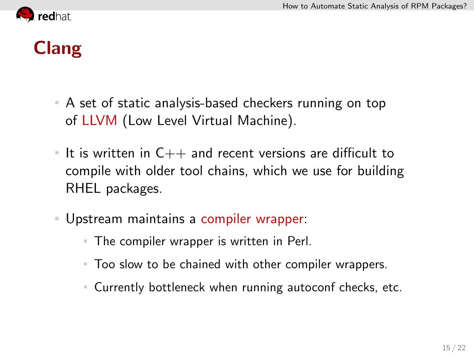<span id="page-17-0"></span>

# Clang

- A set of static analysis-based checkers running on top of LLVM (Low Level Virtual Machine).
- It is written in  $C++$  and recent versions are difficult to compile with older tool chains, which we use for building RHEL packages.
- Upstream maintains a compiler wrapper:
	- The compiler wrapper is written in Perl.
	- Too slow to be chained with other compiler wrappers.
	- Currently bottleneck when running autoconf checks, etc.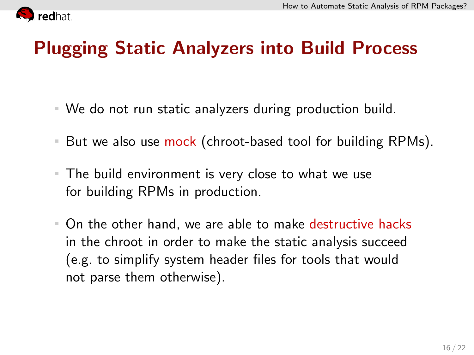<span id="page-18-0"></span>

### Plugging Static Analyzers into Build Process

- We do not run static analyzers during production build.
- But we also use mock (chroot-based tool for building RPMs).  $\mathbb{R}^n$
- The build environment is very close to what we use for building RPMs in production.
- On the other hand, we are able to make destructive hacks in the chroot in order to make the static analysis succeed (e.g. to simplify system header files for tools that would not parse them otherwise).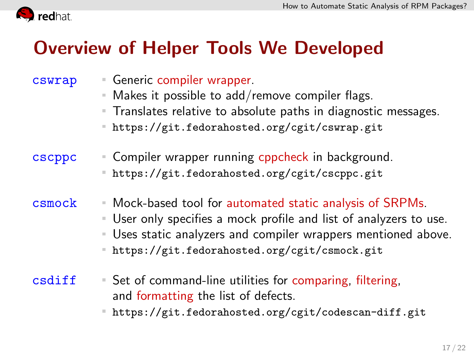<span id="page-19-0"></span>

### Overview of Helper Tools We Developed

- cswrap Generic compiler wrapper. Makes it possible to add/remove compiler flags. **Translates relative to absolute paths in diagnostic messages.** <https://git.fedorahosted.org/cgit/cswrap.git> cscppc Compiler wrapper running cppcheck in background. <https://git.fedorahosted.org/cgit/cscppc.git>  $csmock$  Mock-based tool for automated static analysis of SRPMs. User only specifies a mock profile and list of analyzers to use. Uses static analyzers and compiler wrappers mentioned above. <https://git.fedorahosted.org/cgit/csmock.git>
	-
	- $\text{csdiff}$  = Set of command-line utilities for comparing, filtering, and formatting the list of defects.
		- <https://git.fedorahosted.org/cgit/codescan-diff.git>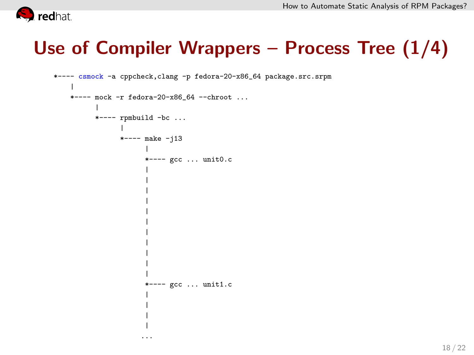<span id="page-20-0"></span>

## Use of Compiler Wrappers – Process Tree (1/4)

```
*---- csmock -a cppcheck,clang -p fedora-20-x86_64 package.src.srpm
 |
 *---- mock -r fedora-20-x86_64 --chroot ...
        |
        *---- rpmbuild -bc ...
               |
              *---- make -j13
                     |
                     *---- gcc ... unit0.c
                     |
                     |
                     |
                     |
                     |
                     |
                     |
                     |
                     |
                     |
                     |
                     *---- gcc ... unit1.c
                     |
                     |
                     |
                     |
                    ...
```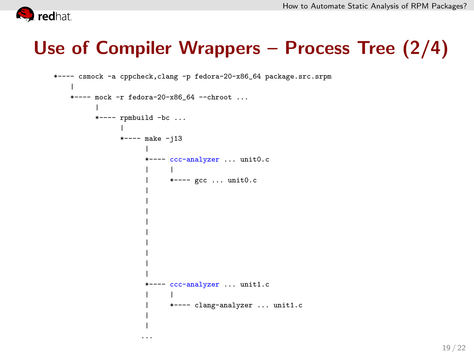<span id="page-21-0"></span>

## Use of Compiler Wrappers – Process Tree (2/4)

```
*---- csmock -a cppcheck,clang -p fedora-20-x86_64 package.src.srpm
 |
 *---- mock -r fedora-20-x86_64 --chroot ...
        |
       *---- rpmbuild -bc ...
              |
              *---- make -j13
                    |
                    *---- ccc-analyzer ... unit0.c
                    | |
                          | *---- gcc ... unit0.c
                    |
                    |
                    |
                    |
                    |
                    |
                    |
                    |
                    |
                    *---- ccc-analyzer ... unit1.c
                    | |
                          | *---- clang-analyzer ... unit1.c
                    |
                    |
```
...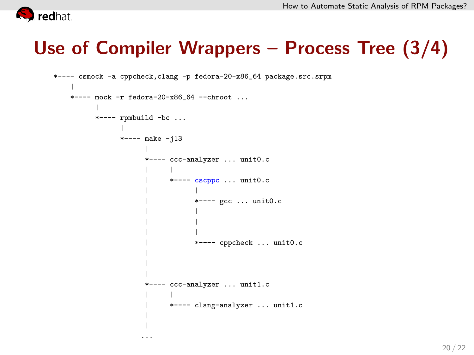<span id="page-22-0"></span>

### Use of Compiler Wrappers – Process Tree (3/4)

```
*---- csmock -a cppcheck,clang -p fedora-20-x86_64 package.src.srpm
|
*---- mock -r fedora-20-x86_64 --chroot ...
      |
      *---- rpmbuild -bc ...
            |
            *---- make -j13
                  |
                 *---- ccc-analyzer ... unit0.c
                  | |
                       | *---- cscppc ... unit0.c
                  | |
                             | *---- gcc ... unit0.c
                  | |
                  | |
                  | |
                             | *---- cppcheck ... unit0.c
                  |
                  |
                  |
                 *---- ccc-analyzer ... unit1.c
                  | |
                       | *---- clang-analyzer ... unit1.c
                  |
                  |
```
...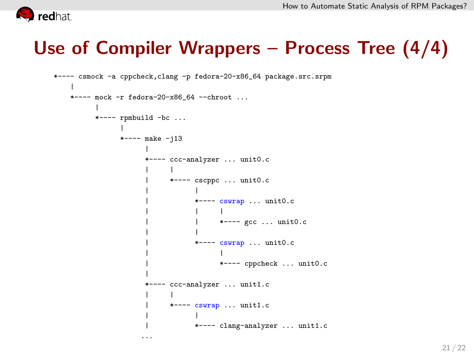<span id="page-23-0"></span>

#### Use of Compiler Wrappers – Process Tree (4/4)

```
*---- csmock -a cppcheck,clang -p fedora-20-x86_64 package.src.srpm
|
*---- mock -r fedora-20-x86_64 --chroot ...
      |
     *---- rpmbuild -bc ...
           |
           *--- make -113|
                *---- ccc-analyzer ... unit0.c
                 | |
                      | *---- cscppc ... unit0.c
                 | |
                           | *---- cswrap ... unit0.c
                 | | |
                               *--- gcc ... unit0.c| |
                           *---- cswrap ... unit0.c
                 | |
                                 | *---- cppcheck ... unit0.c
                 |
                *---- ccc-analyzer ... unit1.c
                 | |
                      *--- cswrap ... unit1.c
                 | |
                           | *---- clang-analyzer ... unit1.c
                ...
```